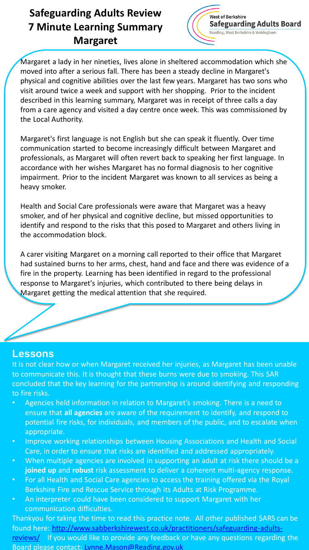# **Safeguarding Adults Review 7 Minute Learning Summary Margaret**



Margaret a lady in her nineties, lives alone in sheltered accommodation which she moved into after a serious fall. There has been a steady decline in Margaret's physical and cognitive abilities over the last few years. Margaret has two sons who visit around twice a week and support with her shopping. Prior to the incident described in this learning summary, Margaret was in receipt of three calls a day from a care agency and visited a day centre once week. This was commissioned by the Local Authority.

Margaret's first language is not English but she can speak it fluently. Over time communication started to become increasingly difficult between Margaret and professionals, as Margaret will often revert back to speaking her first language. In accordance with her wishes Margaret has no formal diagnosis to her cognitive impairment. Prior to the incident Margaret was known to all services as being a heavy smoker.

Health and Social Care professionals were aware that Margaret was a heavy smoker, and of her physical and cognitive decline, but missed opportunities to identify and respond to the risks that this posed to Margaret and others living in the accommodation block.

A carer visiting Margaret on a morning call reported to their office that Margaret had sustained burns to her arms, chest, hand and face and there was evidence of a fire in the property. Learning has been identified in regard to the professional response to Margaret's injuries, which contributed to there being delays in Margaret getting the medical attention that she required.

### **Lessons**

It is not clear how or when Margaret received her injuries, as Margaret has been unable to communicate this. It is thought that these burns were due to smoking. This SAR concluded that the key learning for the partnership is around identifying and responding to fire risks.

- Agencies held information in relation to Margaret's smoking. There is a need to ensure that **all agencies** are aware of the requirement to identify, and respond to potential fire risks, for individuals, and members of the public, and to escalate when appropriate.
- Improve working relationships between Housing Associations and Health and Social Care, in order to ensure that risks are identified and addressed appropriately.
- When multiple agencies are involved in supporting an adult at risk there should be a **joined up** and **robust** risk assessment to deliver a coherent multi-agency response.
- For all Health and Social Care agencies to access the training offered via the Royal Berkshire Fire and Rescue Service through its Adults at Risk Programme.
- An interpreter could have been considered to support Margaret with her communication difficulties.

Thankyou for taking the time to read this practice note. All other published SARS can be [found here: http://www.sabberkshirewest.co.uk/practitioners/safeguarding-adults](http://www.sabberkshirewest.co.uk/practitioners/safeguarding-adults-reviews/)reviews/ If you would like to provide any feedback or have any questions regarding the Board please contact: [Lynne.Mason@Reading.gov.uk](mailto:Lynne.Mason@Reading.gov.uk)